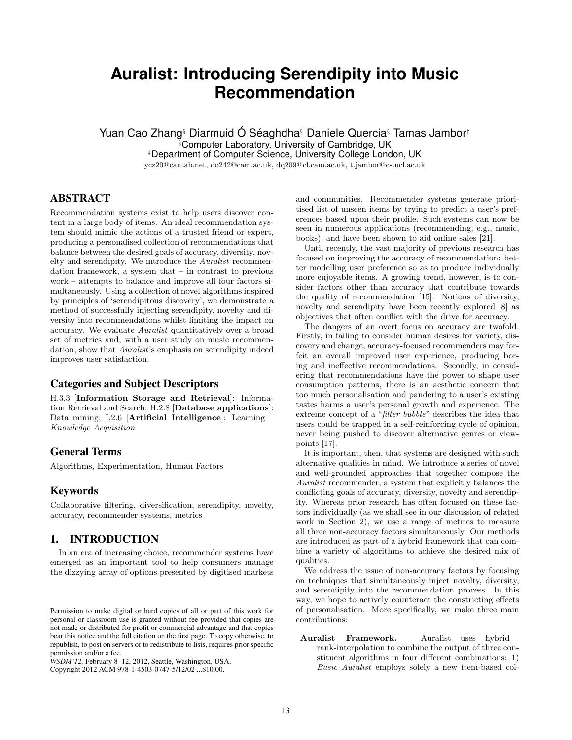# **Auralist: Introducing Serendipity into Music Recommendation**

Yuan Cao Zhang§ Diarmuid Ó Séaghdha§ Daniele Quercia§ Tamas Jambor‡ §Computer Laboratory, University of Cambridge, UK ‡Department of Computer Science, University College London, UK ycz20@cantab.net, do242@cam.ac.uk, dq209@cl.cam.ac.uk, t.jambor@cs.ucl.ac.uk

# ABSTRACT

Recommendation systems exist to help users discover content in a large body of items. An ideal recommendation system should mimic the actions of a trusted friend or expert, producing a personalised collection of recommendations that balance between the desired goals of accuracy, diversity, novelty and serendipity. We introduce the Auralist recommendation framework, a system that – in contrast to previous work – attempts to balance and improve all four factors simultaneously. Using a collection of novel algorithms inspired by principles of 'serendipitous discovery', we demonstrate a method of successfully injecting serendipity, novelty and diversity into recommendations whilst limiting the impact on accuracy. We evaluate Auralist quantitatively over a broad set of metrics and, with a user study on music recommendation, show that Auralist's emphasis on serendipity indeed improves user satisfaction.

# Categories and Subject Descriptors

H.3.3 [Information Storage and Retrieval]: Information Retrieval and Search; H.2.8 [Database applications]: Data mining; I.2.6 [Artificial Intelligence]: Learning-Knowledge Acquisition

# General Terms

Algorithms, Experimentation, Human Factors

# Keywords

Collaborative filtering, diversification, serendipity, novelty, accuracy, recommender systems, metrics

# 1. INTRODUCTION

In an era of increasing choice, recommender systems have emerged as an important tool to help consumers manage the dizzying array of options presented by digitised markets

Copyright 2012 ACM 978-1-4503-0747-5/12/02 ...\$10.00.

and communities. Recommender systems generate prioritised list of unseen items by trying to predict a user's preferences based upon their profile. Such systems can now be seen in numerous applications (recommending, e.g., music, books), and have been shown to aid online sales [21].

Until recently, the vast majority of previous research has focused on improving the accuracy of recommendation: better modelling user preference so as to produce individually more enjoyable items. A growing trend, however, is to consider factors other than accuracy that contribute towards the quality of recommendation [15]. Notions of diversity, novelty and serendipity have been recently explored [8] as objectives that often conflict with the drive for accuracy.

The dangers of an overt focus on accuracy are twofold. Firstly, in failing to consider human desires for variety, discovery and change, accuracy-focused recommenders may forfeit an overall improved user experience, producing boring and ineffective recommendations. Secondly, in considering that recommendations have the power to shape user consumption patterns, there is an aesthetic concern that too much personalisation and pandering to a user's existing tastes harms a user's personal growth and experience. The extreme concept of a "filter bubble" describes the idea that users could be trapped in a self-reinforcing cycle of opinion, never being pushed to discover alternative genres or viewpoints [17].

It is important, then, that systems are designed with such alternative qualities in mind. We introduce a series of novel and well-grounded approaches that together compose the Auralist recommender, a system that explicitly balances the conflicting goals of accuracy, diversity, novelty and serendipity. Whereas prior research has often focused on these factors individually (as we shall see in our discussion of related work in Section 2), we use a range of metrics to measure all three non-accuracy factors simultaneously. Our methods are introduced as part of a hybrid framework that can combine a variety of algorithms to achieve the desired mix of qualities.

We address the issue of non-accuracy factors by focusing on techniques that simultaneously inject novelty, diversity, and serendipity into the recommendation process. In this way, we hope to actively counteract the constricting effects of personalisation. More specifically, we make three main contributions:

Auralist Framework. Auralist uses hybrid rank-interpolation to combine the output of three constituent algorithms in four different combinations: 1) Basic Auralist employs solely a new item-based col-

Permission to make digital or hard copies of all or part of this work for personal or classroom use is granted without fee provided that copies are not made or distributed for profit or commercial advantage and that copies bear this notice and the full citation on the first page. To copy otherwise, to republish, to post on servers or to redistribute to lists, requires prior specific permission and/or a fee.

*WSDM'12,* February 8–12, 2012, Seattle, Washington, USA.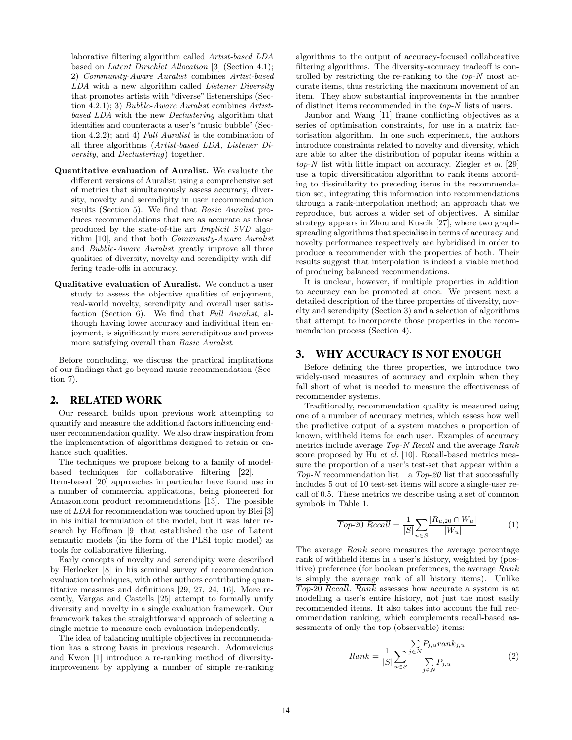laborative filtering algorithm called Artist-based LDA based on Latent Dirichlet Allocation [3] (Section 4.1); 2) Community-Aware Auralist combines Artist-based LDA with a new algorithm called Listener Diversity that promotes artists with "diverse" listenerships (Section 4.2.1); 3) Bubble-Aware Auralist combines Artistbased LDA with the new Declustering algorithm that identifies and counteracts a user's "music bubble" (Section 4.2.2); and 4) Full Auralist is the combination of all three algorithms (Artist-based LDA, Listener Diversity, and Declustering) together.

- Quantitative evaluation of Auralist. We evaluate the different versions of Auralist using a comprehensive set of metrics that simultaneously assess accuracy, diversity, novelty and serendipity in user recommendation results (Section 5). We find that Basic Auralist produces recommendations that are as accurate as those produced by the state-of-the art Implicit SVD algorithm [10], and that both Community-Aware Auralist and Bubble-Aware Auralist greatly improve all three qualities of diversity, novelty and serendipity with differing trade-offs in accuracy.
- Qualitative evaluation of Auralist. We conduct a user study to assess the objective qualities of enjoyment, real-world novelty, serendipity and overall user satisfaction (Section 6). We find that Full Auralist, although having lower accuracy and individual item enjoyment, is significantly more serendipitous and proves more satisfying overall than Basic Auralist.

Before concluding, we discuss the practical implications of our findings that go beyond music recommendation (Section 7).

# 2. RELATED WORK

Our research builds upon previous work attempting to quantify and measure the additional factors influencing enduser recommendation quality. We also draw inspiration from the implementation of algorithms designed to retain or enhance such qualities.

The techniques we propose belong to a family of modelbased techniques for collaborative filtering [22]. Item-based [20] approaches in particular have found use in a number of commercial applications, being pioneered for Amazon.com product recommendations [13]. The possible use of LDA for recommendation was touched upon by Blei [3] in his initial formulation of the model, but it was later research by Hoffman [9] that established the use of Latent semantic models (in the form of the PLSI topic model) as tools for collaborative filtering.

Early concepts of novelty and serendipity were described by Herlocker [8] in his seminal survey of recommendation evaluation techniques, with other authors contributing quantitative measures and definitions [29, 27, 24, 16]. More recently, Vargas and Castells [25] attempt to formally unify diversity and novelty in a single evaluation framework. Our framework takes the straightforward approach of selecting a single metric to measure each evaluation independently.

The idea of balancing multiple objectives in recommendation has a strong basis in previous research. Adomavicius and Kwon [1] introduce a re-ranking method of diversityimprovement by applying a number of simple re-ranking

algorithms to the output of accuracy-focused collaborative filtering algorithms. The diversity-accuracy tradeoff is controlled by restricting the re-ranking to the  $top-N$  most accurate items, thus restricting the maximum movement of an item. They show substantial improvements in the number of distinct items recommended in the top-N lists of users.

Jambor and Wang [11] frame conflicting objectives as a series of optimisation constraints, for use in a matrix factorisation algorithm. In one such experiment, the authors introduce constraints related to novelty and diversity, which are able to alter the distribution of popular items within a  $top-N$  list with little impact on accuracy. Ziegler *et al.* [29] use a topic diversification algorithm to rank items according to dissimilarity to preceding items in the recommendation set, integrating this information into recommendations through a rank-interpolation method; an approach that we reproduce, but across a wider set of objectives. A similar strategy appears in Zhou and Kuscik [27], where two graphspreading algorithms that specialise in terms of accuracy and novelty performance respectively are hybridised in order to produce a recommender with the properties of both. Their results suggest that interpolation is indeed a viable method of producing balanced recommendations.

It is unclear, however, if multiple properties in addition to accuracy can be promoted at once. We present next a detailed description of the three properties of diversity, novelty and serendipity (Section 3) and a selection of algorithms that attempt to incorporate those properties in the recommendation process (Section 4).

# 3. WHY ACCURACY IS NOT ENOUGH

Before defining the three properties, we introduce two widely-used measures of accuracy and explain when they fall short of what is needed to measure the effectiveness of recommender systems.

Traditionally, recommendation quality is measured using one of a number of accuracy metrics, which assess how well the predictive output of a system matches a proportion of known, withheld items for each user. Examples of accuracy metrics include average Top-N Recall and the average Rank score proposed by Hu et al. [10]. Recall-based metrics measure the proportion of a user's test-set that appear within a Top-N recommendation list – a Top-20 list that successfully includes 5 out of 10 test-set items will score a single-user recall of 0.5. These metrics we describe using a set of common symbols in Table 1.

$$
\overline{Top\text{-}20\ Recall} = \frac{1}{|S|} \sum_{u \in S} \frac{|R_{u,20} \cap W_u|}{|W_u|} \tag{1}
$$

The average Rank score measures the average percentage rank of withheld items in a user's history, weighted by (positive) preference (for boolean preferences, the average Rank is simply the average rank of all history items). Unlike Top-20 Recall, Rank assesses how accurate a system is at modelling a user's entire history, not just the most easily recommended items. It also takes into account the full recommendation ranking, which complements recall-based assessments of only the top (observable) items:

$$
\overline{Rank} = \frac{1}{|S|} \sum_{u \in S} \frac{\sum_{j \in N} P_{j,u} rank_{j,u}}{\sum_{j \in N} P_{j,u}}
$$
(2)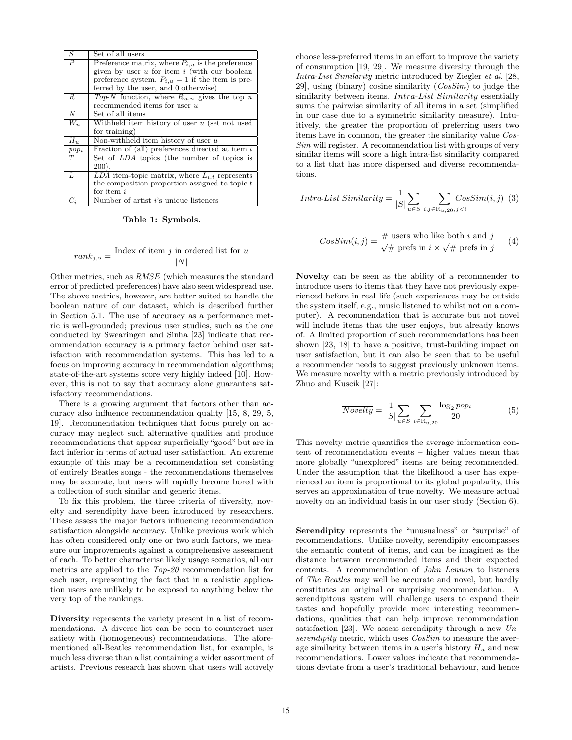| S                | Set of all users                                     |  |  |  |  |  |
|------------------|------------------------------------------------------|--|--|--|--|--|
| P                | Preference matrix, where $P_{i,u}$ is the preference |  |  |  |  |  |
|                  | given by user $u$ for item $i$ (with our boolean     |  |  |  |  |  |
|                  | preference system, $P_{i,u} = 1$ if the item is pre- |  |  |  |  |  |
|                  | ferred by the user, and 0 otherwise)                 |  |  |  |  |  |
| R                | Top-N function, where $R_{u,n}$ gives the top n      |  |  |  |  |  |
|                  | recommended items for user $u$                       |  |  |  |  |  |
| N                | Set of all items                                     |  |  |  |  |  |
| $\overline{W_u}$ | Withheld item history of user $u$ (set not used      |  |  |  |  |  |
|                  | for training)                                        |  |  |  |  |  |
| $H_u$            | Non-withheld item history of user $u$                |  |  |  |  |  |
| $pop_i$          | Fraction of (all) preferences directed at item $i$   |  |  |  |  |  |
| T                | Set of LDA topics (the number of topics is           |  |  |  |  |  |
|                  | $200$ ).                                             |  |  |  |  |  |
| L                | $LDA$ item-topic matrix, where $L_{i,t}$ represents  |  |  |  |  |  |
|                  | the composition proportion assigned to topic $t$     |  |  |  |  |  |
|                  | for item $i$                                         |  |  |  |  |  |
| $\bar{C}_i$      | Number of artist $i$ 's unique listeners             |  |  |  |  |  |

Table 1: Symbols.

$$
rank_{j,u} = \frac{\text{Index of item } j \text{ in ordered list for } u}{|N|}
$$

Other metrics, such as RMSE (which measures the standard error of predicted preferences) have also seen widespread use. The above metrics, however, are better suited to handle the boolean nature of our dataset, which is described further in Section 5.1. The use of accuracy as a performance metric is well-grounded; previous user studies, such as the one conducted by Swearingen and Sinha [23] indicate that recommendation accuracy is a primary factor behind user satisfaction with recommendation systems. This has led to a focus on improving accuracy in recommendation algorithms; state-of-the-art systems score very highly indeed [10]. However, this is not to say that accuracy alone guarantees satisfactory recommendations.

There is a growing argument that factors other than accuracy also influence recommendation quality [15, 8, 29, 5, 19]. Recommendation techniques that focus purely on accuracy may neglect such alternative qualities and produce recommendations that appear superficially "good" but are in fact inferior in terms of actual user satisfaction. An extreme example of this may be a recommendation set consisting of entirely Beatles songs - the recommendations themselves may be accurate, but users will rapidly become bored with a collection of such similar and generic items.

To fix this problem, the three criteria of diversity, novelty and serendipity have been introduced by researchers. These assess the major factors influencing recommendation satisfaction alongside accuracy. Unlike previous work which has often considered only one or two such factors, we measure our improvements against a comprehensive assessment of each. To better characterise likely usage scenarios, all our metrics are applied to the Top-20 recommendation list for each user, representing the fact that in a realistic application users are unlikely to be exposed to anything below the very top of the rankings.

Diversity represents the variety present in a list of recommendations. A diverse list can be seen to counteract user satiety with (homogeneous) recommendations. The aforementioned all-Beatles recommendation list, for example, is much less diverse than a list containing a wider assortment of artists. Previous research has shown that users will actively

choose less-preferred items in an effort to improve the variety of consumption [19, 29]. We measure diversity through the Intra-List Similarity metric introduced by Ziegler et al. [28, 29], using (binary) cosine similarity  $(CosSim)$  to judge the similarity between items. *Intra-List Similarity* essentially sums the pairwise similarity of all items in a set (simplified in our case due to a symmetric similarity measure). Intuitively, the greater the proportion of preferring users two items have in common, the greater the similarity value Cos-Sim will register. A recommendation list with groups of very similar items will score a high intra-list similarity compared to a list that has more dispersed and diverse recommendations.

$$
\overline{Intra-List\ Similarity} = \frac{1}{|S|} \sum_{u \in S} \sum_{i,j \in \text{R}_{u,20}, j < i} \text{CosSim}(i, j) \tag{3}
$$

$$
CosSim(i, j) = \frac{\# \text{ users who like both } i \text{ and } j}{\sqrt{\# \text{ prefix in } i} \times \sqrt{\# \text{ prefix in } j}} \tag{4}
$$

Novelty can be seen as the ability of a recommender to introduce users to items that they have not previously experienced before in real life (such experiences may be outside the system itself; e.g., music listened to whilst not on a computer). A recommendation that is accurate but not novel will include items that the user enjoys, but already knows of. A limited proportion of such recommendations has been shown [23, 18] to have a positive, trust-building impact on user satisfaction, but it can also be seen that to be useful a recommender needs to suggest previously unknown items. We measure novelty with a metric previously introduced by Zhuo and Kuscik [27]:

$$
\overline{Novelty} = \frac{1}{|S|} \sum_{u \in S} \sum_{i \in R_{u,20}} \frac{\log_2 pop_i}{20} \tag{5}
$$

This novelty metric quantifies the average information content of recommendation events – higher values mean that more globally "unexplored" items are being recommended. Under the assumption that the likelihood a user has experienced an item is proportional to its global popularity, this serves an approximation of true novelty. We measure actual novelty on an individual basis in our user study (Section 6).

Serendipity represents the "unusualness" or "surprise" of recommendations. Unlike novelty, serendipity encompasses the semantic content of items, and can be imagined as the distance between recommended items and their expected contents. A recommendation of John Lennon to listeners of The Beatles may well be accurate and novel, but hardly constitutes an original or surprising recommendation. A serendipitous system will challenge users to expand their tastes and hopefully provide more interesting recommendations, qualities that can help improve recommendation satisfaction [23]. We assess serendipity through a new  $Un$ serendipity metric, which uses  $CosSim$  to measure the average similarity between items in a user's history  $H_u$  and new recommendations. Lower values indicate that recommendations deviate from a user's traditional behaviour, and hence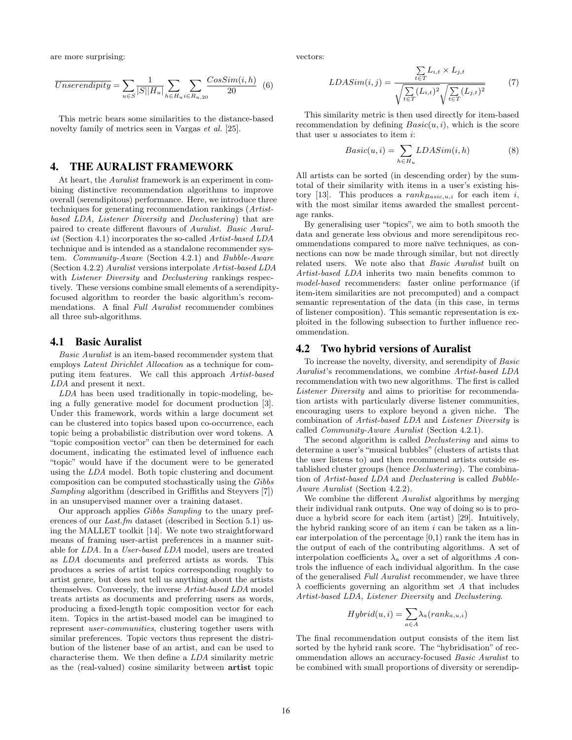are more surprising:

$$
\overline{Unserendipity} = \sum_{u \in S} \frac{1}{|S||H_u|} \sum_{h \in H_u} \sum_{i \in R_{u,20}} \frac{CosSim(i, h)}{20} \tag{6}
$$

This metric bears some similarities to the distance-based novelty family of metrics seen in Vargas et al. [25].

# 4. THE AURALIST FRAMEWORK

At heart, the Auralist framework is an experiment in combining distinctive recommendation algorithms to improve overall (serendipitous) performance. Here, we introduce three techniques for generating recommendation rankings (Artistbased LDA, Listener Diversity and Declustering) that are paired to create different flavours of Auralist. Basic Auralist (Section 4.1) incorporates the so-called Artist-based LDA technique and is intended as a standalone recommender system. Community-Aware (Section 4.2.1) and Bubble-Aware (Section 4.2.2) Auralist versions interpolate Artist-based LDA with *Listener Diversity* and *Declustering* rankings respectively. These versions combine small elements of a serendipityfocused algorithm to reorder the basic algorithm's recommendations. A final Full Auralist recommender combines all three sub-algorithms.

#### 4.1 Basic Auralist

Basic Auralist is an item-based recommender system that employs Latent Dirichlet Allocation as a technique for computing item features. We call this approach Artist-based LDA and present it next.

LDA has been used traditionally in topic-modeling, being a fully generative model for document production [3]. Under this framework, words within a large document set can be clustered into topics based upon co-occurrence, each topic being a probabilistic distribution over word tokens. A "topic composition vector" can then be determined for each document, indicating the estimated level of influence each "topic" would have if the document were to be generated using the LDA model. Both topic clustering and document composition can be computed stochastically using the Gibbs Sampling algorithm (described in Griffiths and Steyvers [7]) in an unsupervised manner over a training dataset.

Our approach applies Gibbs Sampling to the unary preferences of our Last.fm dataset (described in Section 5.1) using the MALLET toolkit [14]. We note two straightforward means of framing user-artist preferences in a manner suitable for LDA. In a User-based LDA model, users are treated as LDA documents and preferred artists as words. This produces a series of artist topics corresponding roughly to artist genre, but does not tell us anything about the artists themselves. Conversely, the inverse Artist-based LDA model treats artists as documents and preferring users as words, producing a fixed-length topic composition vector for each item. Topics in the artist-based model can be imagined to represent user-communities, clustering together users with similar preferences. Topic vectors thus represent the distribution of the listener base of an artist, and can be used to characterise them. We then define a LDA similarity metric as the (real-valued) cosine similarity between artist topic vectors:

$$
LDASim(i,j) = \frac{\sum_{t \in T} L_{i,t} \times L_{j,t}}{\sqrt{\sum_{t \in T} (L_{i,t})^2} \sqrt{\sum_{t \in T} (L_{j,t})^2}}
$$
(7)

This similarity metric is then used directly for item-based recommendation by defining  $Basic(u, i)$ , which is the score that user  $u$  associates to item  $i$ :

$$
Basic(u,i) = \sum_{h \in H_u} LDASim(i,h)
$$
 (8)

All artists can be sorted (in descending order) by the sumtotal of their similarity with items in a user's existing history [13]. This produces a  $rank_{Basic,u,i}$  for each item i, with the most similar items awarded the smallest percentage ranks.

By generalising user "topics", we aim to both smooth the data and generate less obvious and more serendipitous recommendations compared to more naïve techniques, as connections can now be made through similar, but not directly related users. We note also that Basic Auralist built on Artist-based LDA inherits two main benefits common to model-based recommenders: faster online performance (if item-item similarities are not precomputed) and a compact semantic representation of the data (in this case, in terms of listener composition). This semantic representation is exploited in the following subsection to further influence recommendation.

# 4.2 Two hybrid versions of Auralist

To increase the novelty, diversity, and serendipity of Basic Auralist's recommendations, we combine Artist-based LDA recommendation with two new algorithms. The first is called Listener Diversity and aims to prioritise for recommendation artists with particularly diverse listener communities, encouraging users to explore beyond a given niche. The combination of Artist-based LDA and Listener Diversity is called Community-Aware Auralist (Section 4.2.1).

The second algorithm is called Declustering and aims to determine a user's "musical bubbles" (clusters of artists that the user listens to) and then recommend artists outside established cluster groups (hence Declustering). The combination of Artist-based LDA and Declustering is called Bubble-Aware Auralist (Section 4.2.2).

We combine the different *Auralist* algorithms by merging their individual rank outputs. One way of doing so is to produce a hybrid score for each item (artist) [29]. Intuitively, the hybrid ranking score of an item  $i$  can be taken as a linear interpolation of the percentage [0,1) rank the item has in the output of each of the contributing algorithms. A set of interpolation coefficients  $\lambda_a$  over a set of algorithms A controls the influence of each individual algorithm. In the case of the generalised Full Auralist recommender, we have three  $\lambda$  coefficients governing an algorithm set A that includes Artist-based LDA, Listener Diversity and Declustering.

$$
Hybrid(u, i) = \sum_{a \in A} \lambda_a(rank_{a, u, i})
$$

The final recommendation output consists of the item list sorted by the hybrid rank score. The "hybridisation" of recommendation allows an accuracy-focused Basic Auralist to be combined with small proportions of diversity or serendip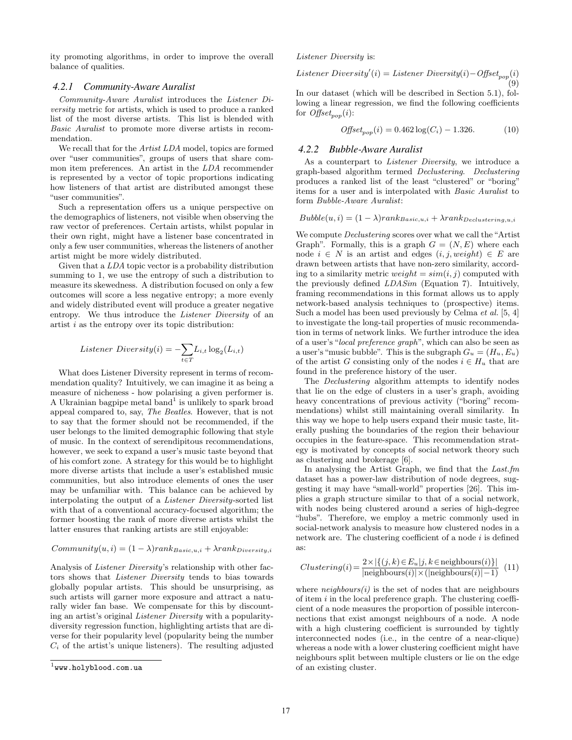ity promoting algorithms, in order to improve the overall balance of qualities.

#### *4.2.1 Community-Aware Auralist*

Community-Aware Auralist introduces the Listener Diversity metric for artists, which is used to produce a ranked list of the most diverse artists. This list is blended with Basic Auralist to promote more diverse artists in recommendation.

We recall that for the Artist LDA model, topics are formed over "user communities", groups of users that share common item preferences. An artist in the LDA recommender is represented by a vector of topic proportions indicating how listeners of that artist are distributed amongst these "user communities".

Such a representation offers us a unique perspective on the demographics of listeners, not visible when observing the raw vector of preferences. Certain artists, whilst popular in their own right, might have a listener base concentrated in only a few user communities, whereas the listeners of another artist might be more widely distributed.

Given that a LDA topic vector is a probability distribution summing to 1, we use the entropy of such a distribution to measure its skewedness. A distribution focused on only a few outcomes will score a less negative entropy; a more evenly and widely distributed event will produce a greater negative entropy. We thus introduce the Listener Diversity of an artist  $i$  as the entropy over its topic distribution:

$$
Listener \ Diversity(i) = -\sum_{t \in T} L_{i,t} \log_2(L_{i,t})
$$

What does Listener Diversity represent in terms of recommendation quality? Intuitively, we can imagine it as being a measure of nicheness - how polarising a given performer is. A Ukrainian bagpipe metal band<sup>1</sup> is unlikely to spark broad appeal compared to, say, The Beatles. However, that is not to say that the former should not be recommended, if the user belongs to the limited demographic following that style of music. In the context of serendipitous recommendations, however, we seek to expand a user's music taste beyond that of his comfort zone. A strategy for this would be to highlight more diverse artists that include a user's established music communities, but also introduce elements of ones the user may be unfamiliar with. This balance can be achieved by interpolating the output of a Listener Diversity-sorted list with that of a conventional accuracy-focused algorithm; the former boosting the rank of more diverse artists whilst the latter ensures that ranking artists are still enjoyable:

# $Commuty(u, i) = (1 - \lambda) rank_{Basic, u, i} + \lambda rank_{Diversity, i}$

Analysis of Listener Diversity's relationship with other factors shows that Listener Diversity tends to bias towards globally popular artists. This should be unsurprising, as such artists will garner more exposure and attract a naturally wider fan base. We compensate for this by discounting an artist's original Listener Diversity with a popularitydiversity regression function, highlighting artists that are diverse for their popularity level (popularity being the number  $C_i$  of the artist's unique listeners). The resulting adjusted

#### Listener Diversity is:

$$
Listener \, Diversity'(i) =Listener \, Diversity(i) - Offset_{pop}(i)
$$
\n(9)

In our dataset (which will be described in Section 5.1), following a linear regression, we find the following coefficients for  $\textit{Offset}_{pop}(i)$ :

$$
Office_{pop}(i) = 0.462 \log(C_i) - 1.326. \tag{10}
$$

#### *4.2.2 Bubble-Aware Auralist*

As a counterpart to Listener Diversity, we introduce a graph-based algorithm termed Declustering. Declustering produces a ranked list of the least "clustered" or "boring" items for a user and is interpolated with Basic Auralist to form Bubble-Aware Auralist:

$$
Bubble(u, i) = (1 - \lambda)rank_{Basic, u, i} + \lambda rank_{Declustering, u, i}
$$

We compute *Declustering* scores over what we call the "Artist" Graph". Formally, this is a graph  $G = (N, E)$  where each node  $i \in N$  is an artist and edges  $(i, j, weight) \in E$  are drawn between artists that have non-zero similarity, according to a similarity metric  $weight = sim(i, j)$  computed with the previously defined LDASim (Equation 7). Intuitively, framing recommendations in this format allows us to apply network-based analysis techniques to (prospective) items. Such a model has been used previously by Celma et al. [5, 4] to investigate the long-tail properties of music recommendation in terms of network links. We further introduce the idea of a user's "local preference graph", which can also be seen as a user's "music bubble". This is the subgraph  $G_u = (H_u, E_u)$ of the artist G consisting only of the nodes  $i \in H_u$  that are found in the preference history of the user.

The Declustering algorithm attempts to identify nodes that lie on the edge of clusters in a user's graph, avoiding heavy concentrations of previous activity ("boring" recommendations) whilst still maintaining overall similarity. In this way we hope to help users expand their music taste, literally pushing the boundaries of the region their behaviour occupies in the feature-space. This recommendation strategy is motivated by concepts of social network theory such as clustering and brokerage [6].

In analysing the Artist Graph, we find that the Last.fm dataset has a power-law distribution of node degrees, suggesting it may have "small-world" properties [26]. This implies a graph structure similar to that of a social network, with nodes being clustered around a series of high-degree "hubs". Therefore, we employ a metric commonly used in social-network analysis to measure how clustered nodes in a network are. The clustering coefficient of a node  $i$  is defined as:

$$
Clustering(i) = \frac{2 \times |\{(j,k) \in E_u | j, k \in \text{neighbours}(i)\}|}{|\text{neighbours}(i)| \times (|\text{neighbours}(i)| - 1)} \tag{11}
$$

where  $neighbours(i)$  is the set of nodes that are neighbours of item  $i$  in the local preference graph. The clustering coefficient of a node measures the proportion of possible interconnections that exist amongst neighbours of a node. A node with a high clustering coefficient is surrounded by tightly interconnected nodes (i.e., in the centre of a near-clique) whereas a node with a lower clustering coefficient might have neighbours split between multiple clusters or lie on the edge of an existing cluster.

 $^1$ www.holyblood.com.ua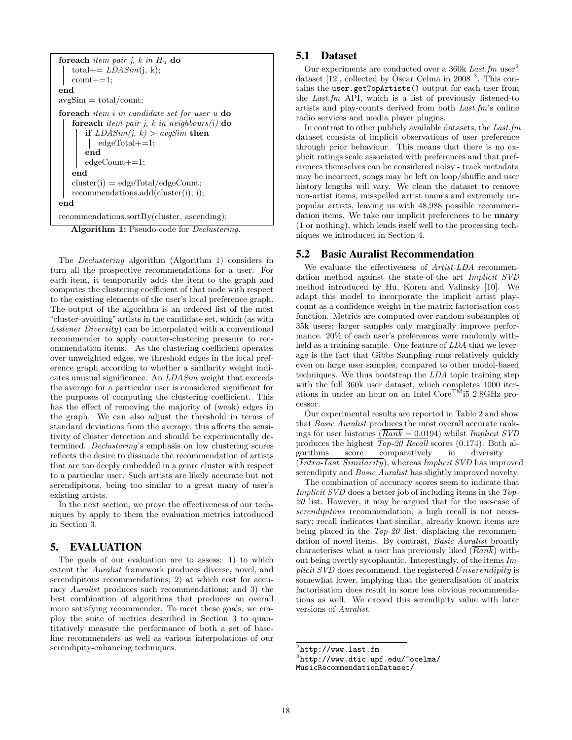| foreach <i>item pair j</i> , <i>k</i> in $H_u$ do                                                           |  |  |  |  |
|-------------------------------------------------------------------------------------------------------------|--|--|--|--|
| $\label{eq:total} \begin{array}{ll} \mbox{total} += \emph{LDASim}(j,\,k);\\ \mbox{count} += 1; \end{array}$ |  |  |  |  |
|                                                                                                             |  |  |  |  |
| end                                                                                                         |  |  |  |  |
| $avgSim = total/count;$                                                                                     |  |  |  |  |
| <b>foreach</b> <i>item i</i> in <i>candidate set</i> for <i>user u</i> <b>do</b>                            |  |  |  |  |
| foreach item pair j, k in neighbours $(i)$ do                                                               |  |  |  |  |
| if $LDASim(j, k) > avgSim$ then                                                                             |  |  |  |  |
| $\vert$ $\vert$ edgeTotal+=1;                                                                               |  |  |  |  |
| $_{\rm end}$                                                                                                |  |  |  |  |
| $edgeCount+=1;$                                                                                             |  |  |  |  |
| end                                                                                                         |  |  |  |  |
| $cluster(i) = edgeTotal/edgeCount;$                                                                         |  |  |  |  |
| recommendations.add(cluster(i), i);                                                                         |  |  |  |  |
| end                                                                                                         |  |  |  |  |
| $recommendations.sortBy(cluster, ascending);$                                                               |  |  |  |  |



The Declustering algorithm (Algorithm 1) considers in turn all the prospective recommendations for a user. For each item, it temporarily adds the item to the graph and computes the clustering coefficient of that node with respect to the existing elements of the user's local preference graph. The output of the algorithm is an ordered list of the most "cluster-avoiding" artists in the candidate set, which (as with Listener Diversity) can be interpolated with a conventional recommender to apply counter-clustering pressure to recommendation items. As the clustering coefficient operates over unweighted edges, we threshold edges in the local preference graph according to whether a similarity weight indicates unusual significance. An LDASim weight that exceeds the average for a particular user is considered significant for the purposes of computing the clustering coefficient. This has the effect of removing the majority of (weak) edges in the graph. We can also adjust the threshold in terms of standard deviations from the average; this affects the sensitivity of cluster detection and should be experimentally determined. Declustering's emphasis on low clustering scores reflects the desire to dissuade the recommendation of artists that are too deeply embedded in a genre cluster with respect to a particular user. Such artists are likely accurate but not serendipitous, being too similar to a great many of user's existing artists.

In the next section, we prove the effectiveness of our techniques by apply to them the evaluation metrics introduced in Section 3.

### 5. EVALUATION

The goals of our evaluation are to assess: 1) to which extent the Auralist framework produces diverse, novel, and serendipitous recommendations; 2) at which cost for accuracy Auralist produces such recommendations; and 3) the best combination of algorithms that produces an overall more satisfying recommender. To meet these goals, we employ the suite of metrics described in Section 3 to quantitatively measure the performance of both a set of baseline recommenders as well as various interpolations of our serendipity-enhancing techniques.

## 5.1 Dataset

Our experiments are conducted over a 360k Last.fm user<sup>2</sup> dataset [12], collected by  $\rm \tilde{O}scar$  Celma in 2008<sup>3</sup>. This contains the user.getTopArtists() output for each user from the Last.fm API, which is a list of previously listened-to artists and play-counts derived from both Last.fm's online radio services and media player plugins.

In contrast to other publicly available datasets, the Last.fm dataset consists of implicit observations of user preference through prior behaviour. This means that there is no explicit ratings scale associated with preferences and that preferences themselves can be considered noisy - track metadata may be incorrect, songs may be left on loop/shuffle and user history lengths will vary. We clean the dataset to remove non-artist items, misspelled artist names and extremely unpopular artists, leaving us with 48,988 possible recommendation items. We take our implicit preferences to be unary (1 or nothing), which lends itself well to the processing techniques we introduced in Section 4.

# 5.2 Basic Auralist Recommendation

We evaluate the effectiveness of *Artist-LDA* recommendation method against the state-of-the art Implicit SVD method introduced by Hu, Koren and Valinsky [10]. We adapt this model to incorporate the implicit artist playcount as a confidence weight in the matrix factorisation cost function. Metrics are computed over random subsamples of 35k users; larger samples only marginally improve performance. 20% of each user's preferences were randomly withheld as a training sample. One feature of  $LDA$  that we leverage is the fact that Gibbs Sampling runs relatively quickly even on large user samples, compared to other model-based techniques. We thus bootstrap the LDA topic training step with the full 360k user dataset, which completes 1000 iterations in under an hour on an Intel  $\text{Core}^{\text{TA}}$  is 2.8GHz processor.

Our experimental results are reported in Table 2 and show that Basic Auralist produces the most overall accurate rankings for user histories  $(Rank = 0.0194)$  whilst *Implicit SVD* produces the highest  $\overline{Top-20\ Recall}$  scores (0.174). Both algorithms score comparatively in diversity  $(\overline{Intra-List Similarity})$ , whereas Implicit SVD has improved serendipity and *Basic Auralist* has slightly improved novelty.

The combination of accuracy scores seem to indicate that Implicit SVD does a better job of including items in the Top-20 list. However, it may be argued that for the use-case of serendipitous recommendation, a high recall is not necessary; recall indicates that similar, already known items are being placed in the Top-20 list, displacing the recommendation of novel items. By contrast, Basic Auralist broadly characterises what a user has previously liked (Rank) without being overtly sycophantic. Interestingly, of the items Implicit SVD does recommend, the registered  $\overline{Unseren dipity}$  is somewhat lower, implying that the generalisation of matrix factorisation does result in some less obvious recommendations as well. We exceed this serendipity value with later versions of Auralist.

 $^2$ http://www.last.fm

 $^3$ http://www.dtic.upf.edu/~ocelma/

MusicRecommendationDataset/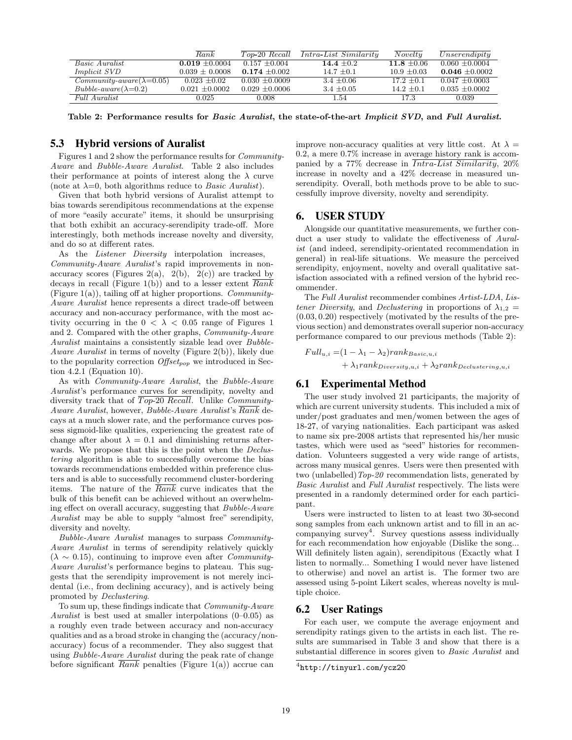|                               | Rank               | Top-20 Recall      | Intra-List Similarity | Novelty         | Unseren dipity     |
|-------------------------------|--------------------|--------------------|-----------------------|-----------------|--------------------|
| <i>Basic Auralist</i>         | $0.019 \pm 0.0004$ | $0.157 + 0.004$    | $14.4 + 0.2$          | $11.8 + 0.06$   | $0.060 \pm 0.0004$ |
| <i>Implicit SVD</i>           | $0.039 \pm 0.0008$ | $0.174 + 0.002$    | $14.7 \pm 0.1$        | $10.9 \pm 0.03$ | $0.046 \pm 0.0002$ |
| $Commuty-aware(\lambda=0.05)$ | $0.023 + 0.02$     | $0.030 + 0.0009$   | $3.4 + 0.06$          | $17.2 + 0.1$    | $0.047 + 0.0003$   |
| $Bubble-aware(\lambda=0.2)$   | $0.021 \pm 0.0002$ | $0.029 \pm 0.0006$ | $3.4 \pm 0.05$        | $14.2 + 0.1$    | $0.035 \pm 0.0002$ |
| Full Auralist                 | 0.025              | 0.008              | 1.54                  | 17.3            | 0.039              |

Table 2: Performance results for Basic Auralist, the state-of-the-art Implicit SVD, and Full Auralist.

# 5.3 Hybrid versions of Auralist

Figures 1 and 2 show the performance results for Community-Aware and Bubble-Aware Auralist. Table 2 also includes their performance at points of interest along the  $\lambda$  curve (note at  $\lambda=0$ , both algorithms reduce to *Basic Auralist*).

Given that both hybrid versions of Auralist attempt to bias towards serendipitous recommendations at the expense of more "easily accurate" items, it should be unsurprising that both exhibit an accuracy-serendipity trade-off. More interestingly, both methods increase novelty and diversity, and do so at different rates.

As the *Listener Diversity* interpolation increases, Community-Aware Auralist's rapid improvements in nonaccuracy scores (Figures 2(a), 2(b), 2(c)) are tracked by decays in recall (Figure 1(b)) and to a lesser extent  $\overline{Rank}$ (Figure  $1(a)$ ), tailing off at higher proportions. *Community*-Aware Auralist hence represents a direct trade-off between accuracy and non-accuracy performance, with the most activity occurring in the  $0 < \lambda < 0.05$  range of Figures 1 and 2. Compared with the other graphs, Community-Aware Auralist maintains a consistently sizable lead over Bubble-Aware Auralist in terms of novelty (Figure 2(b)), likely due to the popularity correction  $\textit{Offset}_{pop}$  we introduced in Section 4.2.1 (Equation 10).

As with Community-Aware Auralist, the Bubble-Aware Auralist's performance curves for serendipity, novelty and diversity track that of  $\overline{Top-20\ Recall}$ . Unlike *Community*-Aware Auralist, however, Bubble-Aware Auralist's  $\overline{Rank}$  decays at a much slower rate, and the performance curves possess sigmoid-like qualities, experiencing the greatest rate of change after about  $\lambda = 0.1$  and diminishing returns afterwards. We propose that this is the point when the *Declus*tering algorithm is able to successfully overcome the bias towards recommendations embedded within preference clusters and is able to successfully recommend cluster-bordering items. The nature of the  $\overline{Rank}$  curve indicates that the bulk of this benefit can be achieved without an overwhelming effect on overall accuracy, suggesting that Bubble-Aware Auralist may be able to supply "almost free" serendipity, diversity and novelty.

Bubble-Aware Auralist manages to surpass Community-Aware Auralist in terms of serendipity relatively quickly  $(\lambda \sim 0.15)$ , continuing to improve even after *Community*-Aware Auralist's performance begins to plateau. This suggests that the serendipity improvement is not merely incidental (i.e., from declining accuracy), and is actively being promoted by Declustering.

To sum up, these findings indicate that Community-Aware Auralist is best used at smaller interpolations  $(0-0.05)$  as a roughly even trade between accuracy and non-accuracy qualities and as a broad stroke in changing the (accuracy/nonaccuracy) focus of a recommender. They also suggest that using Bubble-Aware Auralist during the peak rate of change before significant  $\overline{Rank}$  penalties (Figure 1(a)) accrue can

improve non-accuracy qualities at very little cost. At  $\lambda =$ 0.2, a mere 0.7% increase in average history rank is accompanied by a 77% decrease in  $\overline{Intra-List\ Similarity}$ , 20% increase in novelty and a 42% decrease in measured unserendipity. Overall, both methods prove to be able to successfully improve diversity, novelty and serendipity.

# 6. USER STUDY

Alongside our quantitative measurements, we further conduct a user study to validate the effectiveness of Auralist (and indeed, serendipity-orientated recommendation in general) in real-life situations. We measure the perceived serendipity, enjoyment, novelty and overall qualitative satisfaction associated with a refined version of the hybrid recommender.

The Full Auralist recommender combines Artist-LDA, Listener Diversity, and Declustering in proportions of  $\lambda_{1,2}$ (0.03, 0.20) respectively (motivated by the results of the previous section) and demonstrates overall superior non-accuracy performance compared to our previous methods (Table 2):

 $Full_{u,i} = (1 - \lambda_1 - \lambda_2) rank_{Basic,u,i}$  $+ \lambda_1 rank_{Diversity, u, i} + \lambda_2 rank_{Declustering, u, i}$ 

# 6.1 Experimental Method

The user study involved 21 participants, the majority of which are current university students. This included a mix of under/post graduates and men/women between the ages of 18-27, of varying nationalities. Each participant was asked to name six pre-2008 artists that represented his/her music tastes, which were used as "seed" histories for recommendation. Volunteers suggested a very wide range of artists, across many musical genres. Users were then presented with two (unlabelled)  $Top-20$  recommendation lists, generated by Basic Auralist and Full Auralist respectively. The lists were presented in a randomly determined order for each participant.

Users were instructed to listen to at least two 30-second song samples from each unknown artist and to fill in an accompanying survey<sup>4</sup>. Survey questions assess individually for each recommendation how enjoyable (Dislike the song... Will definitely listen again), serendipitous (Exactly what I listen to normally... Something I would never have listened to otherwise) and novel an artist is. The former two are assessed using 5-point Likert scales, whereas novelty is multiple choice.

# 6.2 User Ratings

For each user, we compute the average enjoyment and serendipity ratings given to the artists in each list. The results are summarised in Table 3 and show that there is a substantial difference in scores given to Basic Auralist and

<sup>4</sup> http://tinyurl.com/ycz20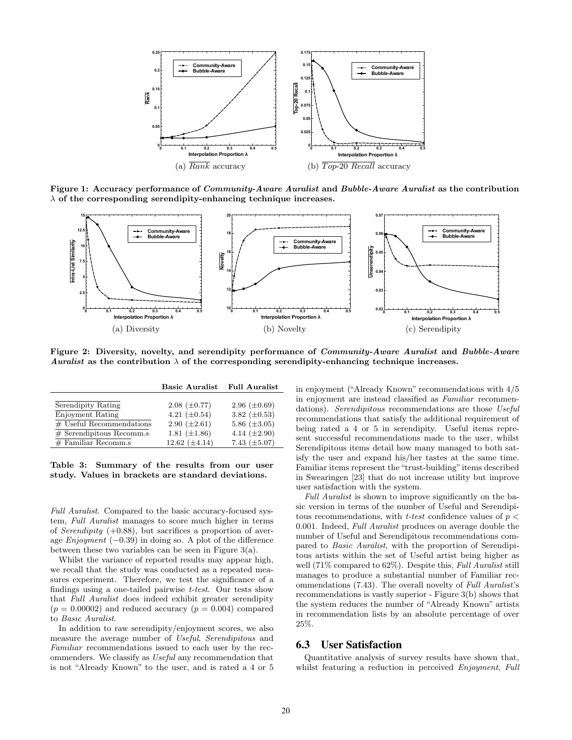

Figure 1: Accuracy performance of Community-Aware Auralist and Bubble-Aware Auralist as the contribution  $\lambda$  of the corresponding serendipity-enhancing technique increases.



Figure 2: Diversity, novelty, and serendipity performance of *Community-Aware Auralist* and *Bubble-Aware* Auralist as the contribution  $\lambda$  of the corresponding serendipity-enhancing technique increases.

|                            | <b>Basic Auralist</b> | <b>Full Auralist</b> |
|----------------------------|-----------------------|----------------------|
|                            |                       |                      |
| Serendipity Rating         | $2.08 \ (\pm 0.77)$   | 2.96 $(\pm 0.69)$    |
| Enjoyment Rating           | 4.21 $(\pm 0.54)$     | 3.82 $(\pm 0.53)$    |
| $#$ Useful Recommendations | $2.90 \ (\pm 2.61)$   | 5.86 $(\pm 3.05)$    |
| $#$ Serendipitous Recomm.s | 1.81 $(\pm 1.86)$     | 4.14 $(\pm 2.90)$    |
| $#$ Familiar Recomm.s      | 12.62 $(\pm 4.14)$    | 7.43 $(\pm 5.07)$    |

Table 3: Summary of the results from our user study. Values in brackets are standard deviations.

Full Auralist. Compared to the basic accuracy-focused system, Full Auralist manages to score much higher in terms of *Serendipity*  $(+0.88)$ , but sacrifices a proportion of average Enjoyment (−0.39) in doing so. A plot of the difference between these two variables can be seen in Figure 3(a).

Whilst the variance of reported results may appear high, we recall that the study was conducted as a repeated measures experiment. Therefore, we test the significance of a findings using a one-tailed pairwise t-test. Our tests show that Full Auralist does indeed exhibit greater serendipity  $(p = 0.00002)$  and reduced accuracy  $(p = 0.004)$  compared to Basic Auralist.

In addition to raw serendipity/enjoyment scores, we also measure the average number of Useful, Serendipitous and Familiar recommendations issued to each user by the recommenders. We classify as Useful any recommendation that is not "Already Known" to the user, and is rated a 4 or 5 in enjoyment ("Already Known" recommendations with 4/5 in enjoyment are instead classified as Familiar recommendations). Serendipitous recommendations are those Useful recommendations that satisfy the additional requirement of being rated a 4 or 5 in serendipity. Useful items represent successful recommendations made to the user, whilst Serendipitous items detail how many managed to both satisfy the user and expand his/her tastes at the same time. Familiar items represent the "trust-building"items described in Swearingen [23] that do not increase utility but improve user satisfaction with the system.

Full Auralist is shown to improve significantly on the basic version in terms of the number of Useful and Serendipitous recommendations, with *t-test* confidence values of  $p <$ 0.001. Indeed, Full Auralist produces on average double the number of Useful and Serendipitous recommendations compared to Basic Auralist, with the proportion of Serendipitous artists within the set of Useful artist being higher as well (71% compared to 62%). Despite this, Full Auralist still manages to produce a substantial number of Familiar recommendations (7.43). The overall novelty of Full Auralist's recommendations is vastly superior - Figure 3(b) shows that the system reduces the number of "Already Known" artists in recommendation lists by an absolute percentage of over 25%.

#### 6.3 User Satisfaction

Quantitative analysis of survey results have shown that, whilst featuring a reduction in perceived *Enjoyment*, Full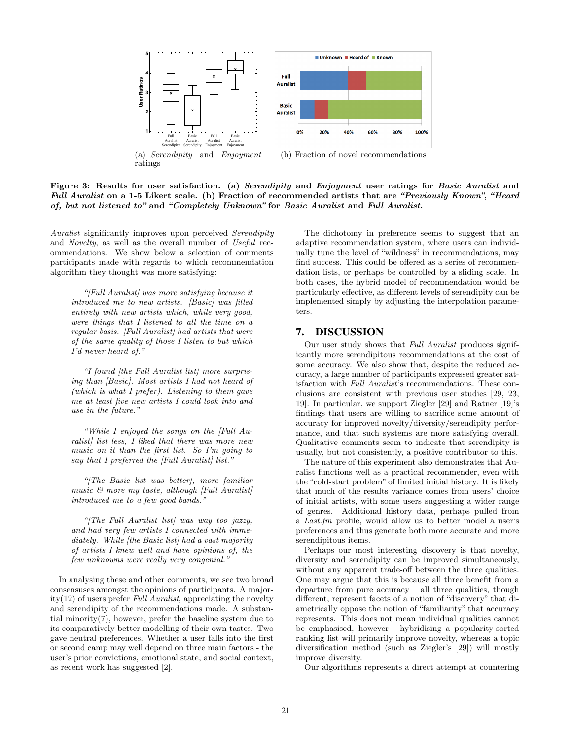

Figure 3: Results for user satisfaction. (a) Serendipity and Enjoyment user ratings for Basic Auralist and Full Auralist on a 1-5 Likert scale. (b) Fraction of recommended artists that are "Previously Known", "Heard of, but not listened to" and "Completely Unknown" for Basic Auralist and Full Auralist.

Auralist significantly improves upon perceived Serendipity and Novelty, as well as the overall number of Useful recommendations. We show below a selection of comments participants made with regards to which recommendation algorithm they thought was more satisfying:

"[Full Auralist] was more satisfying because it introduced me to new artists. [Basic] was filled entirely with new artists which, while very good, were things that I listened to all the time on a regular basis. [Full Auralist] had artists that were of the same quality of those I listen to but which I'd never heard of."

"I found [the Full Auralist list] more surprising than [Basic]. Most artists I had not heard of (which is what I prefer). Listening to them gave me at least five new artists I could look into and use in the future."

"While I enjoyed the songs on the [Full Auralist] list less, I liked that there was more new music on it than the first list. So I'm going to say that I preferred the  $[Full\; Auralist]$  list."

"[The Basic list was better], more familiar music  $\mathcal{B}$  more my taste, although [Full Auralist] introduced me to a few good bands."

"[The Full Auralist list] was way too jazzy, and had very few artists I connected with immediately. While [the Basic list] had a vast majority of artists I knew well and have opinions of, the few unknowns were really very congenial."

In analysing these and other comments, we see two broad consensuses amongst the opinions of participants. A major $ity(12)$  of users prefer Full Auralist, appreciating the novelty and serendipity of the recommendations made. A substantial minority(7), however, prefer the baseline system due to its comparatively better modelling of their own tastes. Two gave neutral preferences. Whether a user falls into the first or second camp may well depend on three main factors - the user's prior convictions, emotional state, and social context, as recent work has suggested [2].

The dichotomy in preference seems to suggest that an adaptive recommendation system, where users can individually tune the level of "wildness" in recommendations, may find success. This could be offered as a series of recommendation lists, or perhaps be controlled by a sliding scale. In both cases, the hybrid model of recommendation would be particularly effective, as different levels of serendipity can be implemented simply by adjusting the interpolation parameters.

# 7. DISCUSSION

Our user study shows that Full Auralist produces significantly more serendipitous recommendations at the cost of some accuracy. We also show that, despite the reduced accuracy, a large number of participants expressed greater satisfaction with Full Auralist's recommendations. These conclusions are consistent with previous user studies [29, 23, 19]. In particular, we support Ziegler [29] and Ratner [19]'s findings that users are willing to sacrifice some amount of accuracy for improved novelty/diversity/serendipity performance, and that such systems are more satisfying overall. Qualitative comments seem to indicate that serendipity is usually, but not consistently, a positive contributor to this.

The nature of this experiment also demonstrates that Auralist functions well as a practical recommender, even with the "cold-start problem" of limited initial history. It is likely that much of the results variance comes from users' choice of initial artists, with some users suggesting a wider range of genres. Additional history data, perhaps pulled from a Last.fm profile, would allow us to better model a user's preferences and thus generate both more accurate and more serendipitous items.

Perhaps our most interesting discovery is that novelty, diversity and serendipity can be improved simultaneously, without any apparent trade-off between the three qualities. One may argue that this is because all three benefit from a departure from pure accuracy – all three qualities, though different, represent facets of a notion of "discovery" that diametrically oppose the notion of "familiarity" that accuracy represents. This does not mean individual qualities cannot be emphasised, however - hybridising a popularity-sorted ranking list will primarily improve novelty, whereas a topic diversification method (such as Ziegler's [29]) will mostly improve diversity.

Our algorithms represents a direct attempt at countering